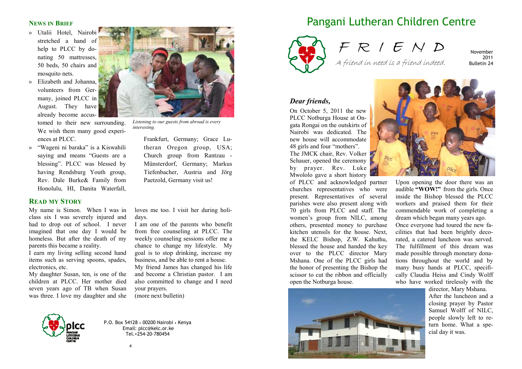# **NEWS IN BRIEF**

- » Utalii Hotel, Nairobi stretched a hand of help to PLCC by donating 50 mattresses, 50 beds, 50 chairs and mosquito nets.
- » Elizabeth and Johanna, volunteers from Germany, joined PLCC in August. They have already become accus-

tomed to their new surrounding. We wish them many good experiences at PLCC.

» "Wageni ni baraka" is a Kiswahili saying and means "Guests are a blessing". PLCC was blessed by having Rendsburg Youth group, Rev. Dale Burke& Family from Honolulu, HI, Danita Waterfall,

# **READ MY STORY**

My name is Simon. When I was in class six I was severely injured and had to drop out of school. I never imagined that one day I would be homeless. But after the death of my parents this became a reality.

 I earn my living selling second hand items such as serving spoons, spades, electronics, etc.

 My daughter Susan, ten, is one of the children at PLCC. Her mother died seven years ago of TB when Susan was three. I love my daughter and she



*Listening to our guests from abroad is every interesting.* 

Frankfurt, Germany; Grace Lutheran Oregon group, USA; Church group from Rantzau - Münsterdorf, Germany; Markus Tiefenbacher, Austria and Jörg Paetzold, Germany visit us!

loves me too. I visit her during holidays.

 I am one of the parents who benefit from free counseling at PLCC. The weekly counseling sessions offer me a chance to change my lifestyle. My goal is to stop drinking, increase my business, and be able to rent a house. My friend James has changed his life and become a Christian pastor. I am

 also committed to change and I need your prayers.

(more next bulletin)



P.O. Box 54128 • 00200 Nairobi • Kenya Email: plcc@kelc.or.ke Tel.+254-20-780454

# Pangani Lutheran Children Centre



F R I E N D A friend in need is a friend indeed.

November 2011 Bulletin 24

#### *Dear friends,*

On October 5, 2011 the new PLCC Notburga House at Ongata Rongai on the outskirts of Nairobi was dedicated. The new house will accommodate 48 girls and four "mothers". The JMCK chair, Rev. Volker Schauer, opened the ceremony by prayer. Rev. Luke Mwololo gave a short history

 of PLCC and acknowledged partner churches representatives who were present. Representatives of several parishes were also present along with 70 girls from PLCC and staff. The women's group from NILC, among others, presented money to purchase kitchen utensils for the house. Next, the KELC Bishop, Z.W. Kahuthu, blessed the house and handed the key over to the PLCC director Mary Mshana. One of the PLCC girls had the honor of presenting the Bishop the scissor to cut the ribbon and officially open the Notburga house.





Upon opening the door there was an audible **"WOW!"** from the girls. Once inside the Bishop blessed the PLCC workers and praised them for their commendable work of completing a dream which began many years ago. Once everyone had toured the new facilities that had been brightly decorated, a catered luncheon was served. The fulfillment of this dream was made possible through monetary donations throughout the world and by many busy hands at PLCC, specifically Claudia Heiss and Cindy Wolff who have worked tirelessly with the

director, Mary Mshana. After the luncheon and a closing prayer by Pastor Samuel Wolff of NILC, people slowly left to return home. What a special day it was.